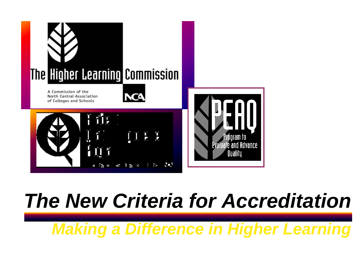

#### *The New Criteria for Accreditation*

*Making a Difference in Higher Learning*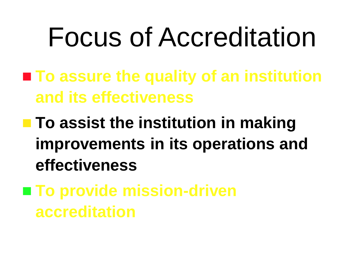# Focus of Accreditation

- **To assure the quality of an institution and its effectiveness**
- **To assist the institution in making improvements in its operations and effectiveness**
- To provide mission-driven **accreditation**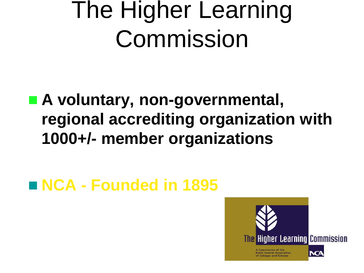# The Higher Learning Commission

#### ■ A voluntary, non-governmental, **regional accrediting organization with 1000+/- member organizations**

#### **NCA - Founded in 1895**

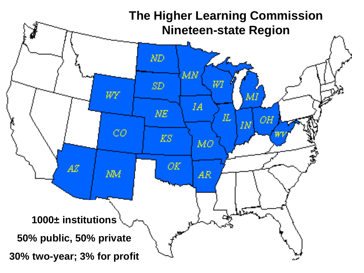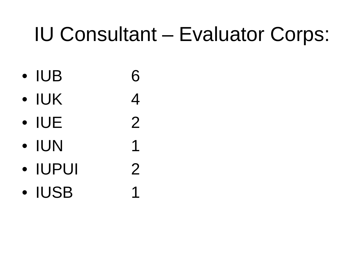#### IU Consultant – Evaluator Corps:

- $\bullet$  IUB 6
- $\bullet$  IUK 4
- $\bullet$  IUE 2
- $\bullet$  IUN 1
- IUPUI 2
- IUSB 1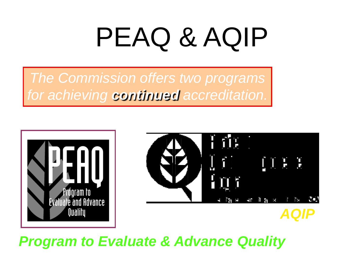# PEAQ & AQIP

*The Commission offers two programs for achieving continued accreditation.*





#### *Program to Evaluate & Advance Quality*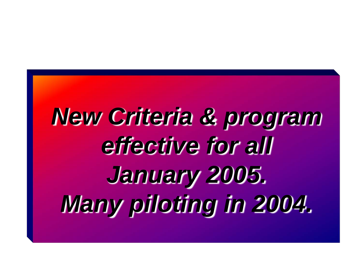# *New Criteria & program effective for all January 2005. Many piloting in 2004.*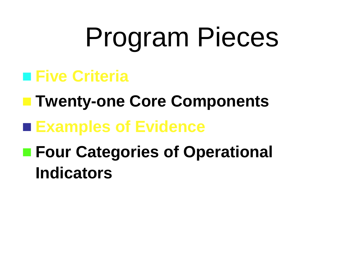# Program Pieces

#### **■ Five Criteria**

- **Twenty-one Core Components**
- **Examples of Evidence**
- **Four Categories of Operational Indicators**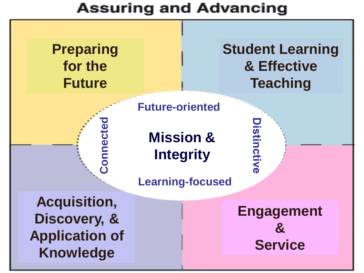#### **Assuring and Advancing**

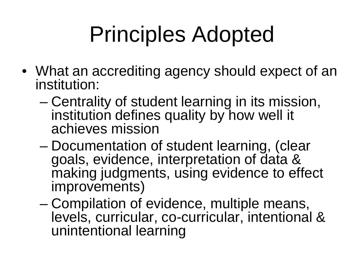# Principles Adopted

- What an accrediting agency should expect of an institution:
	- Centrality of student learning in its mission, institution defines quality by how well it achieves mission
	- Documentation of student learning, (clear goals, evidence, interpretation of data & making judgments, using evidence to effect improvements)
	- Compilation of evidence, multiple means, levels, curricular, co-curricular, intentional & unintentional learning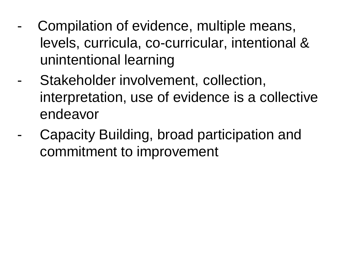- Compilation of evidence, multiple means, levels, curricula, co-curricular, intentional & unintentional learning
- Stakeholder involvement, collection, interpretation, use of evidence is a collective endeavor
- Capacity Building, broad participation and commitment to improvement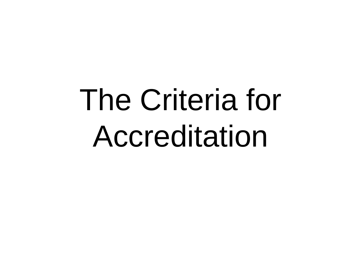# The Criteria for Accreditation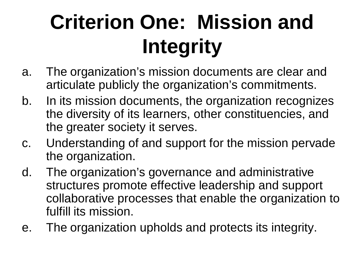## **Criterion One: Mission and Integrity**

- a. The organization's mission documents are clear and articulate publicly the organization's commitments.
- b. In its mission documents, the organization recognizes the diversity of its learners, other constituencies, and the greater society it serves.
- c. Understanding of and support for the mission pervade the organization.
- d. The organization's governance and administrative structures promote effective leadership and support collaborative processes that enable the organization to fulfill its mission.
- e. The organization upholds and protects its integrity.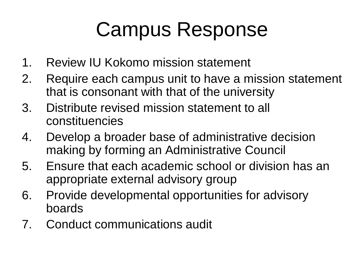#### Campus Response

- 1. Review IU Kokomo mission statement
- 2. Require each campus unit to have a mission statement that is consonant with that of the university
- 3. Distribute revised mission statement to all constituencies
- 4. Develop a broader base of administrative decision making by forming an Administrative Council
- 5. Ensure that each academic school or division has an appropriate external advisory group
- 6. Provide developmental opportunities for advisory boards
- 7. Conduct communications audit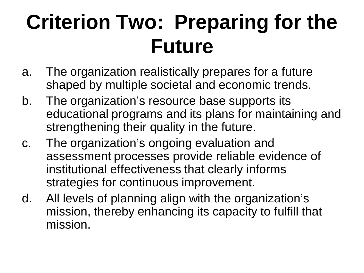## **Criterion Two: Preparing for the Future**

- a. The organization realistically prepares for a future shaped by multiple societal and economic trends.
- b. The organization's resource base supports its educational programs and its plans for maintaining and strengthening their quality in the future.
- c. The organization's ongoing evaluation and assessment processes provide reliable evidence of institutional effectiveness that clearly informs strategies for continuous improvement.
- d. All levels of planning align with the organization's mission, thereby enhancing its capacity to fulfill that mission.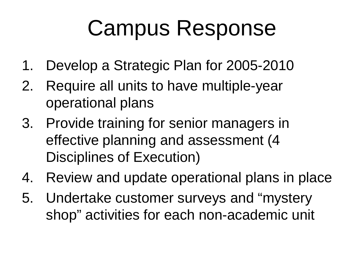# Campus Response

- 1. Develop a Strategic Plan for 2005-2010
- 2. Require all units to have multiple-year operational plans
- 3. Provide training for senior managers in effective planning and assessment (4 Disciplines of Execution)
- 4. Review and update operational plans in place
- 5. Undertake customer surveys and "mystery shop" activities for each non-academic unit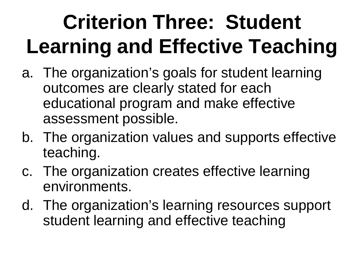# **Criterion Three: Student Learning and Effective Teaching**

- a. The organization's goals for student learning outcomes are clearly stated for each educational program and make effective assessment possible.
- b. The organization values and supports effective teaching.
- c. The organization creates effective learning environments.
- d. The organization's learning resources support student learning and effective teaching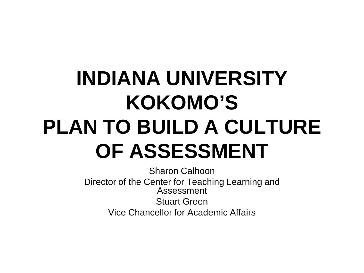### **INDIANA UNIVERSITY KOKOMO'S PLAN TO BUILD A CULTURE OF ASSESSMENT**

Sharon Calhoon Director of the Center for Teaching Learning and Assessment Stuart Green Vice Chancellor for Academic Affairs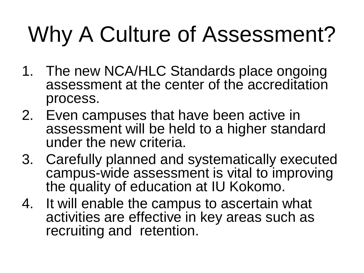# Why A Culture of Assessment?

- 1. The new NCA/HLC Standards place ongoing assessment at the center of the accreditation process.
- 2. Even campuses that have been active in assessment will be held to a higher standard under the new criteria.
- 3. Carefully planned and systematically executed campus-wide assessment is vital to improving the quality of education at IU Kokomo.
- 4. It will enable the campus to ascertain what activities are effective in key areas such as recruiting and retention.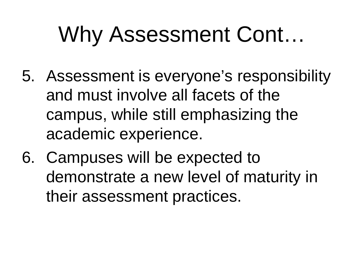# Why Assessment Cont…

- 5. Assessment is everyone's responsibility and must involve all facets of the campus, while still emphasizing the academic experience.
- 6. Campuses will be expected to demonstrate a new level of maturity in their assessment practices.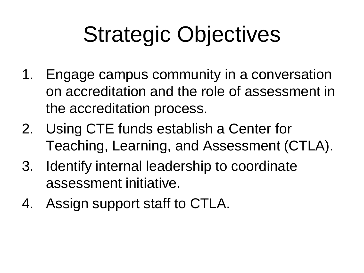# Strategic Objectives

- 1. Engage campus community in a conversation on accreditation and the role of assessment in the accreditation process.
- 2. Using CTE funds establish a Center for Teaching, Learning, and Assessment (CTLA).
- 3. Identify internal leadership to coordinate assessment initiative.
- 4. Assign support staff to CTLA.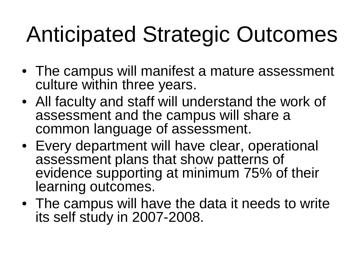# Anticipated Strategic Outcomes

- The campus will manifest a mature assessment culture within three years.
- All faculty and staff will understand the work of assessment and the campus will share a common language of assessment.
- Every department will have clear, operational assessment plans that show patterns of evidence supporting at minimum 75% of their learning outcomes.
- The campus will have the data it needs to write its self study in 2007-2008.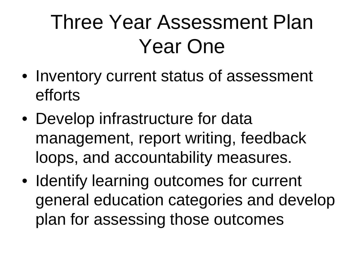## Three Year Assessment Plan Year One

- Inventory current status of assessment efforts
- Develop infrastructure for data management, report writing, feedback loops, and accountability measures.
- Identify learning outcomes for current general education categories and develop plan for assessing those outcomes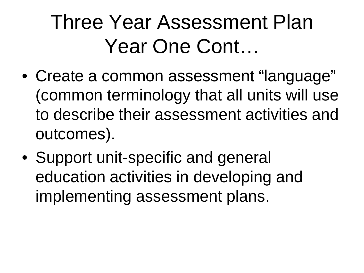### Three Year Assessment Plan Year One Cont…

- Create a common assessment "language" (common terminology that all units will use to describe their assessment activities and outcomes).
- Support unit-specific and general education activities in developing and implementing assessment plans.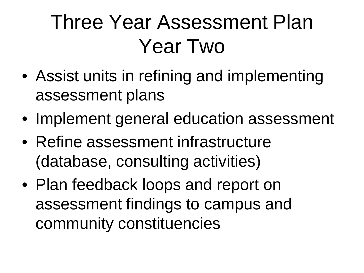## Three Year Assessment Plan Year Two

- Assist units in refining and implementing assessment plans
- Implement general education assessment
- Refine assessment infrastructure (database, consulting activities)
- Plan feedback loops and report on assessment findings to campus and community constituencies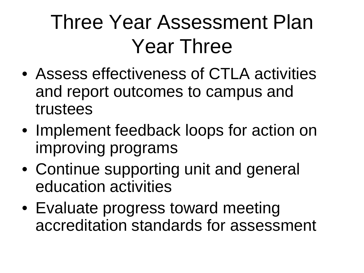## Three Year Assessment Plan Year Three

- Assess effectiveness of CTLA activities and report outcomes to campus and trustees
- Implement feedback loops for action on improving programs
- Continue supporting unit and general education activities
- Evaluate progress toward meeting accreditation standards for assessment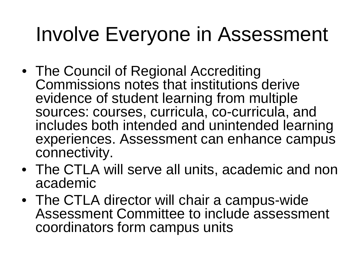#### Involve Everyone in Assessment

- The Council of Regional Accrediting Commissions notes that institutions derive evidence of student learning from multiple sources: courses, curricula, co-curricula, and includes both intended and unintended learning experiences. Assessment can enhance campus connectivity.
- The CTLA will serve all units, academic and non academic
- The CTLA director will chair a campus-wide Assessment Committee to include assessment coordinators form campus units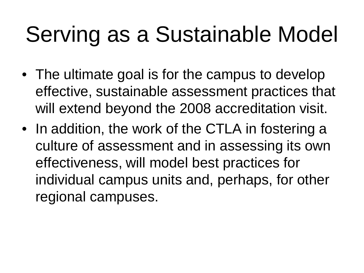# Serving as a Sustainable Model

- The ultimate goal is for the campus to develop effective, sustainable assessment practices that will extend beyond the 2008 accreditation visit.
- In addition, the work of the CTLA in fostering a culture of assessment and in assessing its own effectiveness, will model best practices for individual campus units and, perhaps, for other regional campuses.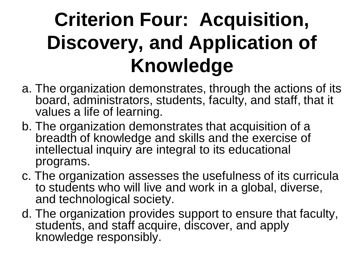#### **Criterion Four: Acquisition, Discovery, and Application of Knowledge**

- a. The organization demonstrates, through the actions of its board, administrators, students, faculty, and staff, that it values a life of learning.
- b. The organization demonstrates that acquisition of a breadth of knowledge and skills and the exercise of intellectual inquiry are integral to its educational programs.
- c. The organization assesses the usefulness of its curricula to students who will live and work in a global, diverse, and technological society.
- d. The organization provides support to ensure that faculty, students, and staff acquire, discover, and apply knowledge responsibly.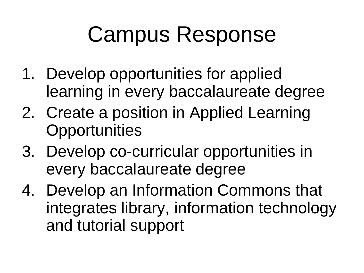# Campus Response

- 1. Develop opportunities for applied learning in every baccalaureate degree
- 2. Create a position in Applied Learning **Opportunities**
- 3. Develop co-curricular opportunities in every baccalaureate degree
- 4. Develop an Information Commons that integrates library, information technology and tutorial support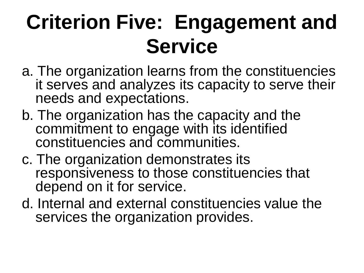## **Criterion Five: Engagement and Service**

- a. The organization learns from the constituencies it serves and analyzes its capacity to serve their needs and expectations.
- b. The organization has the capacity and the commitment to engage with its identified constituencies and communities.
- c. The organization demonstrates its responsiveness to those constituencies that depend on it for service.
- d. Internal and external constituencies value the services the organization provides.